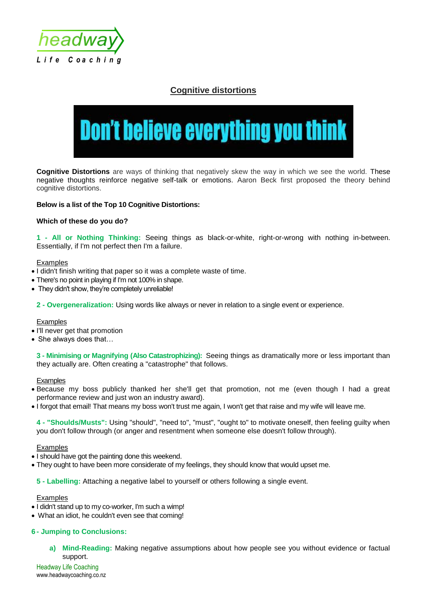

# **Cognitive distortions**

# **Don't believe everything you think**

**Cognitive Distortions** are ways of thinking that negatively skew the way in which we see the world. These negative thoughts reinforce negative self-talk or emotions. Aaron Beck first proposed the theory behind cognitive distortions.

# **Below is a list of the Top 10 Cognitive Distortions:**

### **Which of these do you do?**

**1 - All or Nothing Thinking:** Seeing things as black-or-white, right-or-wrong with nothing in-between. Essentially, if I'm not perfect then I'm a failure.

#### **Examples**

- I didn't finish writing that paper so it was a complete waste of time.
- There's no point in playing if I'm not 100% in shape.
- They didn't show, they're completely unreliable!

**2 - Overgeneralization:** Using words like always or never in relation to a single event or experience.

#### **Examples**

- I'll never get that promotion
- She always does that...

**3 - Minimising or Magnifying (Also Catastrophizing):** Seeing things as dramatically more or less important than they actually are. Often creating a "catastrophe" that follows.

#### **Examples**

- Because my boss publicly thanked her she'll get that promotion, not me (even though I had a great performance review and just won an industry award).
- I forgot that email! That means my boss won't trust me again, I won't get that raise and my wife will leave me.

**4 - "Shoulds/Musts":** Using "should", "need to", "must", "ought to" to motivate oneself, then feeling guilty when you don't follow through (or anger and resentment when someone else doesn't follow through).

#### Examples

- I should have got the painting done this weekend.
- They ought to have been more considerate of my feelings, they should know that would upset me.

**5 - Labelling:** Attaching a negative label to yourself or others following a single event.

#### Examples

- I didn't stand up to my co-worker, I'm such a wimp!
- What an idiot, he couldn't even see that coming!

# **6 - Jumping to Conclusions:**

**a) Mind-Reading:** Making negative assumptions about how people see you without evidence or factual support.

Headway Life Coaching www.headwaycoaching.co.nz